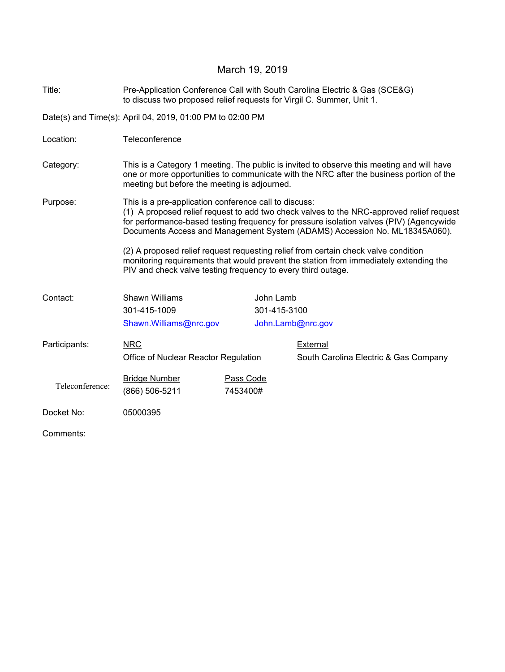### March 19, 2019

Title: Pre-Application Conference Call with South Carolina Electric & Gas (SCE&G) to discuss two proposed relief requests for Virgil C. Summer, Unit 1.

Date(s) and Time(s): April 04, 2019, 01:00 PM to 02:00 PM

- Location: Teleconference
- Category: This is a Category 1 meeting. The public is invited to observe this meeting and will have one or more opportunities to communicate with the NRC after the business portion of the meeting but before the meeting is adjourned.

Purpose: This is a pre-application conference call to discuss: (1) A proposed relief request to add two check valves to the NRC-approved relief request for performance-based testing frequency for pressure isolation valves (PIV) (Agencywide Documents Access and Management System (ADAMS) Accession No. ML18345A060).

> (2) A proposed relief request requesting relief from certain check valve condition monitoring requirements that would prevent the station from immediately extending the PIV and check valve testing frequency to every third outage.

| Contact:        | <b>Shawn Williams</b>                |           | John Lamb         |                                       |  |
|-----------------|--------------------------------------|-----------|-------------------|---------------------------------------|--|
|                 | 301-415-1009                         |           | 301-415-3100      |                                       |  |
|                 | Shawn.Williams@nrc.gov               |           | John.Lamb@nrc.gov |                                       |  |
| Participants:   | <b>NRC</b>                           |           |                   | <b>External</b>                       |  |
|                 | Office of Nuclear Reactor Regulation |           |                   | South Carolina Electric & Gas Company |  |
|                 | <b>Bridge Number</b>                 | Pass Code |                   |                                       |  |
| Teleconference: | (866) 506-5211                       | 7453400#  |                   |                                       |  |
| Docket No:      | 05000395                             |           |                   |                                       |  |

Comments: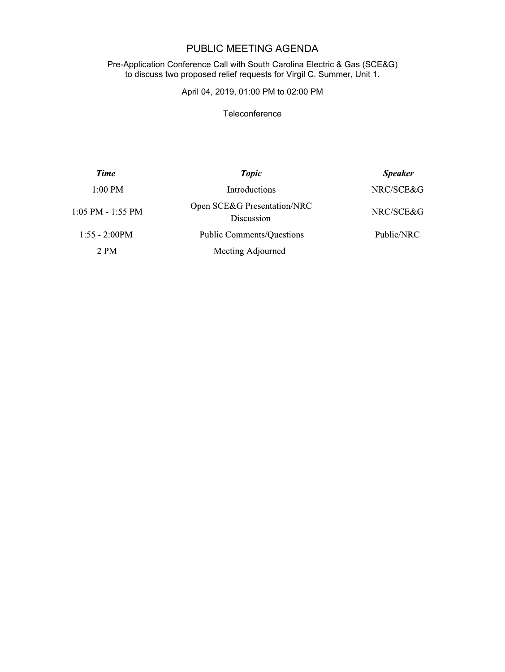# PUBLIC MEETING AGENDA

#### Pre-Application Conference Call with South Carolina Electric & Gas (SCE&G) to discuss two proposed relief requests for Virgil C. Summer, Unit 1.

## April 04, 2019, 01:00 PM to 02:00 PM

#### **Teleconference**

| <b>Time</b>           | <b>Topic</b>                              | <b>Speaker</b> |  |
|-----------------------|-------------------------------------------|----------------|--|
| $1:00$ PM             | <b>Introductions</b>                      | NRC/SCE&G      |  |
| $1:05$ PM - $1:55$ PM | Open SCE&G Presentation/NRC<br>Discussion | NRC/SCE&G      |  |
| $1:55 - 2:00PM$       | <b>Public Comments/Questions</b>          | Public/NRC     |  |
| 2 PM                  | Meeting Adjourned                         |                |  |